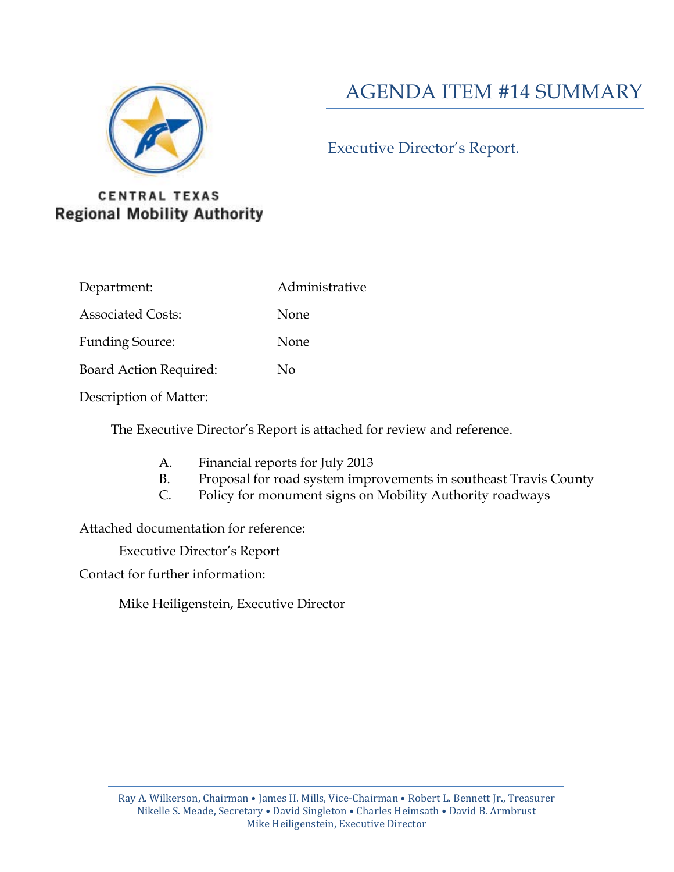

## AGENDA ITEM #14 SUMMARY

#### Executive Director's Report.

#### **CENTRAL TEXAS Regional Mobility Authority**

- Department: Administrative
- Associated Costs: None
- Funding Source: None
- Board Action Required: No
- Description of Matter:

The Executive Director's Report is attached for review and reference.

- A. Financial reports for July 2013
- B. Proposal for road system improvements in southeast Travis County
- C. Policy for monument signs on Mobility Authority roadways

Attached documentation for reference:

Executive Director's Report

Contact for further information:

Mike Heiligenstein, Executive Director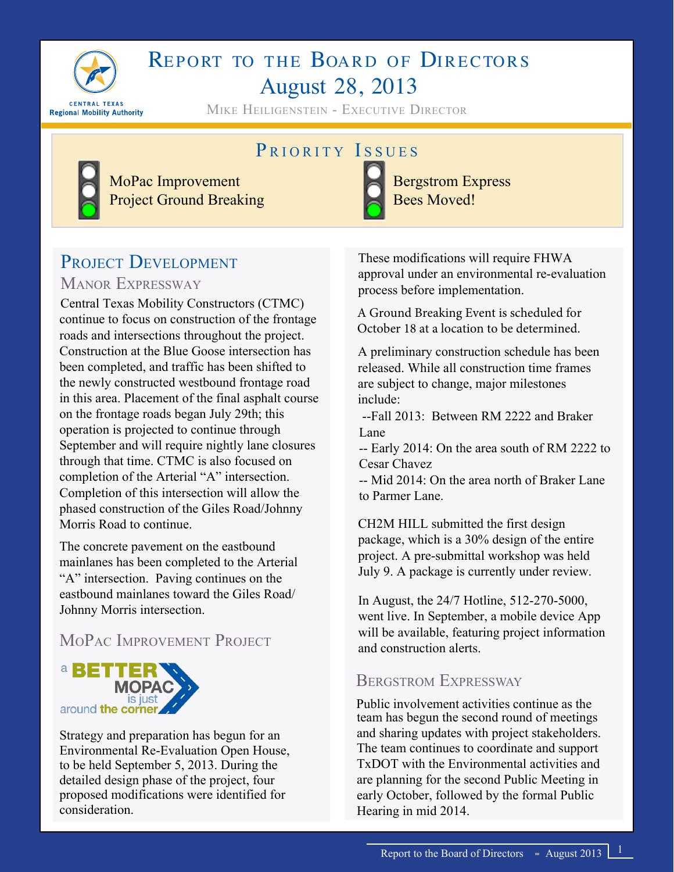

# REPORT TO THE BOARD OF DIRECTORS August 28, 2013

Mike Heiligenstein - Executive Director

## PRIORITY ISSUES



Bergstrom Express Bees Moved!

## PROJECT DEVELOPMENT MANOR EXPRESSWAY

MoPac Improvement Project Ground Breaking

Central Texas Mobility Constructors (CTMC) continue to focus on construction of the frontage roads and intersections throughout the project. Construction at the Blue Goose intersection has been completed, and traffic has been shifted to the newly constructed westbound frontage road in this area. Placement of the final asphalt course on the frontage roads began July 29th; this operation is projected to continue through September and will require nightly lane closures through that time. CTMC is also focused on completion of the Arterial "A" intersection. Completion of this intersection will allow the phased construction of the Giles Road/Johnny Morris Road to continue.

The concrete pavement on the eastbound mainlanes has been completed to the Arterial "A" intersection. Paving continues on the eastbound mainlanes toward the Giles Road/ Johnny Morris intersection.

## MoPac Improvement Project



Strategy and preparation has begun for an Environmental Re-Evaluation Open House, to be held September 5, 2013. During the detailed design phase of the project, four proposed modifications were identified for consideration.

These modifications will require FHWA approval under an environmental re-evaluation process before implementation.

A Ground Breaking Event is scheduled for October 18 at a location to be determined.

A preliminary construction schedule has been released. While all construction time frames are subject to change, major milestones include:

 --Fall 2013: Between RM 2222 and Braker Lane

-- Early 2014: On the area south of RM 2222 to Cesar Chavez

-- Mid 2014: On the area north of Braker Lane to Parmer Lane.

CH2M HILL submitted the first design package, which is a 30% design of the entire project. A pre-submittal workshop was held July 9. A package is currently under review.

In August, the 24/7 Hotline, 512-270-5000, went live. In September, a mobile device App will be available, featuring project information and construction alerts.

#### Bergstrom Expressway

Public involvement activities continue as the team has begun the second round of meetings and sharing updates with project stakeholders. The team continues to coordinate and support TxDOT with the Environmental activities and are planning for the second Public Meeting in early October, followed by the formal Public Hearing in mid 2014.